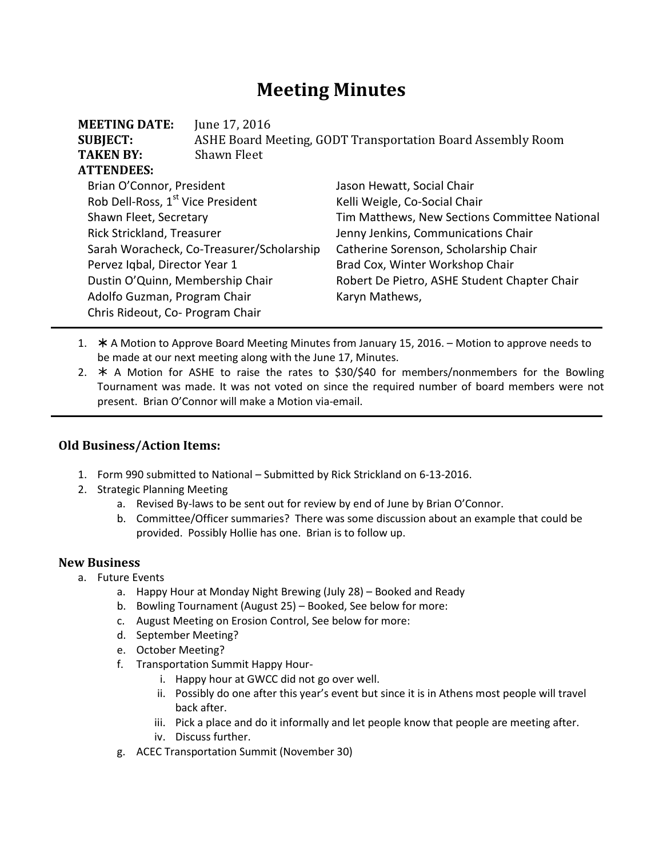# **Meeting Minutes**

| <b>MEETING DATE:</b><br><b>SUBJECT:</b><br><b>TAKEN BY:</b> | June 17, 2016<br>ASHE Board Meeting, GODT Transportation Board Assembly Room<br>Shawn Fleet |                                               |  |
|-------------------------------------------------------------|---------------------------------------------------------------------------------------------|-----------------------------------------------|--|
| <b>ATTENDEES:</b>                                           |                                                                                             |                                               |  |
| Brian O'Connor, President                                   |                                                                                             | Jason Hewatt, Social Chair                    |  |
| Rob Dell-Ross, 1 <sup>st</sup> Vice President               |                                                                                             | Kelli Weigle, Co-Social Chair                 |  |
| Shawn Fleet, Secretary                                      |                                                                                             | Tim Matthews, New Sections Committee National |  |
| Rick Strickland, Treasurer                                  |                                                                                             | Jenny Jenkins, Communications Chair           |  |
| Sarah Woracheck, Co-Treasurer/Scholarship                   |                                                                                             | Catherine Sorenson, Scholarship Chair         |  |
| Pervez Iqbal, Director Year 1                               |                                                                                             | Brad Cox, Winter Workshop Chair               |  |
| Dustin O'Quinn, Membership Chair                            |                                                                                             | Robert De Pietro, ASHE Student Chapter Chair  |  |
| Adolfo Guzman, Program Chair                                |                                                                                             | Karyn Mathews,                                |  |
| Chris Rideout, Co- Program Chair                            |                                                                                             |                                               |  |

- 1. \* A Motion to Approve Board Meeting Minutes from January 15, 2016. Motion to approve needs to be made at our next meeting along with the June 17, Minutes.
- 2.  $*$  A Motion for ASHE to raise the rates to \$30/\$40 for members/nonmembers for the Bowling Tournament was made. It was not voted on since the required number of board members were not present. Brian O'Connor will make a Motion via-email.

## **Old Business/Action Items:**

- 1. Form 990 submitted to National Submitted by Rick Strickland on 6-13-2016.
- 2. Strategic Planning Meeting
	- a. Revised By-laws to be sent out for review by end of June by Brian O'Connor.
	- b. Committee/Officer summaries? There was some discussion about an example that could be provided. Possibly Hollie has one. Brian is to follow up.

### **New Business**

- a. Future Events
	- a. Happy Hour at Monday Night Brewing (July 28) Booked and Ready
	- b. Bowling Tournament (August 25) Booked, See below for more:
	- c. August Meeting on Erosion Control, See below for more:
	- d. September Meeting?
	- e. October Meeting?
	- f. Transportation Summit Happy Hour
		- i. Happy hour at GWCC did not go over well.
		- ii. Possibly do one after this year's event but since it is in Athens most people will travel back after.
		- iii. Pick a place and do it informally and let people know that people are meeting after.
		- iv. Discuss further.
	- g. ACEC Transportation Summit (November 30)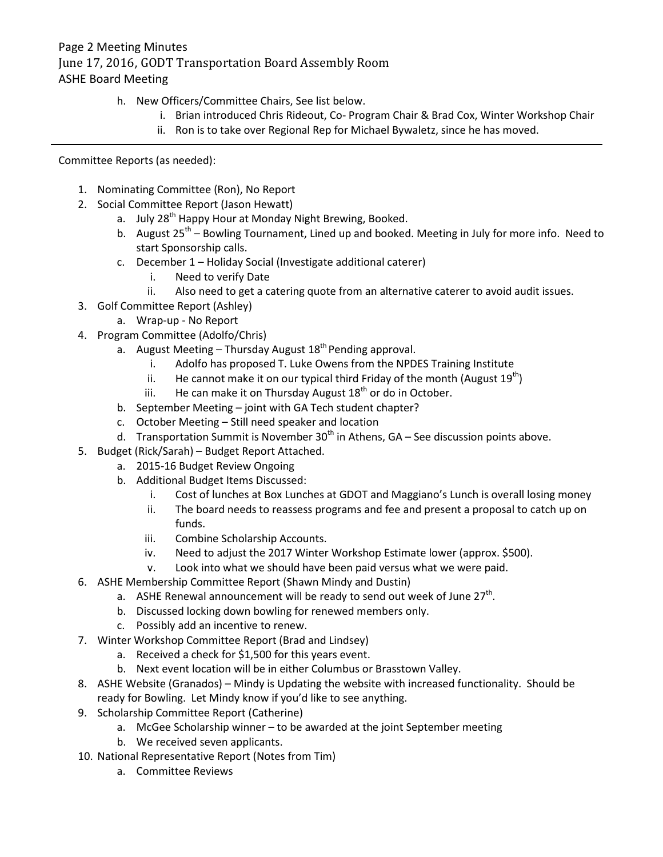## Page 2 Meeting Minutes June 17, 2016, GODT Transportation Board Assembly Room ASHE Board Meeting

- h. New Officers/Committee Chairs, See list below.
	- i. Brian introduced Chris Rideout, Co- Program Chair & Brad Cox, Winter Workshop Chair
	- ii. Ron is to take over Regional Rep for Michael Bywaletz, since he has moved.

Committee Reports (as needed):

- 1. Nominating Committee (Ron), No Report
- 2. Social Committee Report (Jason Hewatt)
	- a. July 28<sup>th</sup> Happy Hour at Monday Night Brewing, Booked.
	- b. August  $25<sup>th</sup>$  Bowling Tournament, Lined up and booked. Meeting in July for more info. Need to start Sponsorship calls.
	- c. December 1 Holiday Social (Investigate additional caterer)
		- i. Need to verify Date
		- ii. Also need to get a catering quote from an alternative caterer to avoid audit issues.
- 3. Golf Committee Report (Ashley)
	- a. Wrap-up No Report
- 4. Program Committee (Adolfo/Chris)
	- a. August Meeting Thursday August  $18<sup>th</sup>$  Pending approval.
		- i. Adolfo has proposed T. Luke Owens from the NPDES Training Institute
		- ii. He cannot make it on our typical third Friday of the month (August  $19^{th}$ )
		- iii. He can make it on Thursday August  $18<sup>th</sup>$  or do in October.
	- b. September Meeting joint with GA Tech student chapter?
	- c. October Meeting Still need speaker and location
	- d. Transportation Summit is November  $30<sup>th</sup>$  in Athens, GA See discussion points above.
- 5. Budget (Rick/Sarah) Budget Report Attached.
	- a. 2015-16 Budget Review Ongoing
	- b. Additional Budget Items Discussed:
		- i. Cost of lunches at Box Lunches at GDOT and Maggiano's Lunch is overall losing money
		- ii. The board needs to reassess programs and fee and present a proposal to catch up on funds.
		- iii. Combine Scholarship Accounts.
		- iv. Need to adjust the 2017 Winter Workshop Estimate lower (approx. \$500).
		- v. Look into what we should have been paid versus what we were paid.
- 6. ASHE Membership Committee Report (Shawn Mindy and Dustin)
	- a. ASHE Renewal announcement will be ready to send out week of June 27<sup>th</sup>.
	- b. Discussed locking down bowling for renewed members only.
	- c. Possibly add an incentive to renew.
- 7. Winter Workshop Committee Report (Brad and Lindsey)
	- a. Received a check for \$1,500 for this years event.
	- b. Next event location will be in either Columbus or Brasstown Valley.
- 8. ASHE Website (Granados) Mindy is Updating the website with increased functionality. Should be ready for Bowling. Let Mindy know if you'd like to see anything.
- 9. Scholarship Committee Report (Catherine)
	- a. McGee Scholarship winner to be awarded at the joint September meeting
	- b. We received seven applicants.
- 10. National Representative Report (Notes from Tim)
	- a. Committee Reviews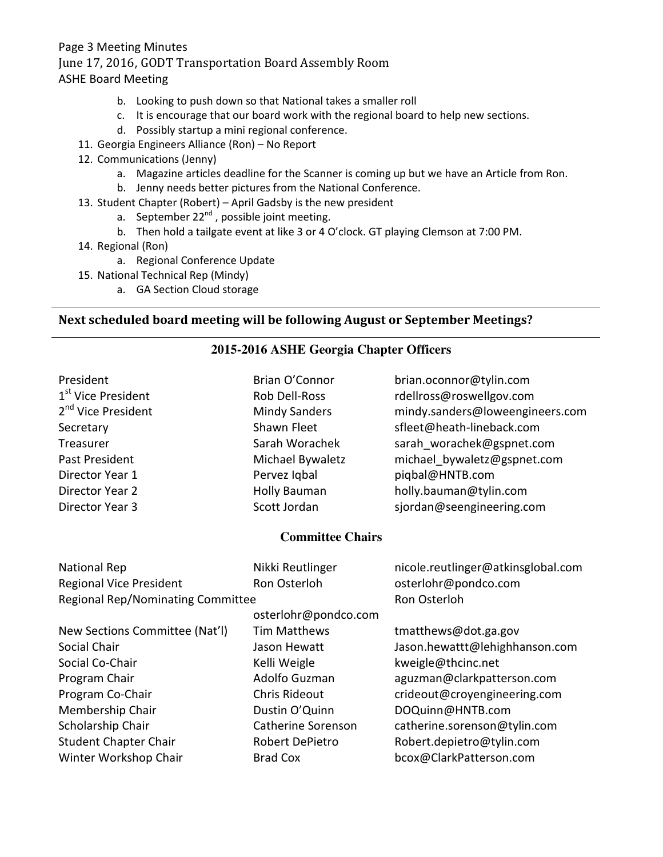## Page 3 Meeting Minutes June 17, 2016, GODT Transportation Board Assembly Room ASHE Board Meeting

- b. Looking to push down so that National takes a smaller roll
- c. It is encourage that our board work with the regional board to help new sections.
- d. Possibly startup a mini regional conference.
- 11. Georgia Engineers Alliance (Ron) No Report
- 12. Communications (Jenny)
	- a. Magazine articles deadline for the Scanner is coming up but we have an Article from Ron.
	- b. Jenny needs better pictures from the National Conference.
- 13. Student Chapter (Robert) April Gadsby is the new president
	- a. September  $22^{nd}$ , possible joint meeting.
	- b. Then hold a tailgate event at like 3 or 4 O'clock. GT playing Clemson at 7:00 PM.
- 14. Regional (Ron)
	- a. Regional Conference Update
- 15. National Technical Rep (Mindy)
	- a. GA Section Cloud storage

### **Next scheduled board meeting will be following August or September Meetings?**

### **2015-2016 ASHE Georgia Chapter Officers**

| President<br>Brian O'Connor<br>brian.oconnor@tylin.com<br>1 <sup>st</sup> Vice President<br>Rob Dell-Ross<br>rdellross@roswellgov.com<br>2 <sup>nd</sup> Vice President<br><b>Mindy Sanders</b><br>mindy.sanders@loweengineers.com<br>Shawn Fleet<br>sfleet@heath-lineback.com<br>Secretary<br>Sarah Worachek<br>sarah worachek@gspnet.com<br>Treasurer<br>Michael Bywaletz<br>Past President<br>michael bywaletz@gspnet.com<br>piqbal@HNTB.com<br>Director Year 1<br>Pervez Iqbal<br><b>Holly Bauman</b><br>holly.bauman@tylin.com<br>Director Year 2<br>Scott Jordan<br>Director Year 3<br>sjordan@seengineering.com |  |
|------------------------------------------------------------------------------------------------------------------------------------------------------------------------------------------------------------------------------------------------------------------------------------------------------------------------------------------------------------------------------------------------------------------------------------------------------------------------------------------------------------------------------------------------------------------------------------------------------------------------|--|
|                                                                                                                                                                                                                                                                                                                                                                                                                                                                                                                                                                                                                        |  |
|                                                                                                                                                                                                                                                                                                                                                                                                                                                                                                                                                                                                                        |  |
|                                                                                                                                                                                                                                                                                                                                                                                                                                                                                                                                                                                                                        |  |
|                                                                                                                                                                                                                                                                                                                                                                                                                                                                                                                                                                                                                        |  |
|                                                                                                                                                                                                                                                                                                                                                                                                                                                                                                                                                                                                                        |  |
|                                                                                                                                                                                                                                                                                                                                                                                                                                                                                                                                                                                                                        |  |
|                                                                                                                                                                                                                                                                                                                                                                                                                                                                                                                                                                                                                        |  |
|                                                                                                                                                                                                                                                                                                                                                                                                                                                                                                                                                                                                                        |  |
|                                                                                                                                                                                                                                                                                                                                                                                                                                                                                                                                                                                                                        |  |
| <b>Committee Chairs</b>                                                                                                                                                                                                                                                                                                                                                                                                                                                                                                                                                                                                |  |
| National Rep<br>Nikki Reutlinger<br>nicole.reutlinger@atkinsglobal.com                                                                                                                                                                                                                                                                                                                                                                                                                                                                                                                                                 |  |
| <b>Regional Vice President</b><br>Ron Osterloh<br>osterlohr@pondco.com                                                                                                                                                                                                                                                                                                                                                                                                                                                                                                                                                 |  |
| Ron Osterloh<br><b>Regional Rep/Nominating Committee</b>                                                                                                                                                                                                                                                                                                                                                                                                                                                                                                                                                               |  |
| osterlohr@pondco.com                                                                                                                                                                                                                                                                                                                                                                                                                                                                                                                                                                                                   |  |
| <b>Tim Matthews</b><br>New Sections Committee (Nat'l)<br>tmatthews@dot.ga.gov                                                                                                                                                                                                                                                                                                                                                                                                                                                                                                                                          |  |
| Social Chair<br>Jason Hewatt<br>Jason.hewattt@lehighhanson.com                                                                                                                                                                                                                                                                                                                                                                                                                                                                                                                                                         |  |
| Social Co-Chair<br>Kelli Weigle<br>kweigle@thcinc.net                                                                                                                                                                                                                                                                                                                                                                                                                                                                                                                                                                  |  |
| Adolfo Guzman<br>aguzman@clarkpatterson.com<br>Program Chair                                                                                                                                                                                                                                                                                                                                                                                                                                                                                                                                                           |  |
| Program Co-Chair<br><b>Chris Rideout</b><br>crideout@croyengineering.com                                                                                                                                                                                                                                                                                                                                                                                                                                                                                                                                               |  |
| Membership Chair<br>Dustin O'Quinn<br>DOQuinn@HNTB.com                                                                                                                                                                                                                                                                                                                                                                                                                                                                                                                                                                 |  |
| Scholarship Chair<br>Catherine Sorenson<br>catherine.sorenson@tylin.com                                                                                                                                                                                                                                                                                                                                                                                                                                                                                                                                                |  |
| <b>Student Chapter Chair</b><br>Robert DePietro<br>Robert.depietro@tylin.com                                                                                                                                                                                                                                                                                                                                                                                                                                                                                                                                           |  |
| Winter Workshop Chair<br>bcox@ClarkPatterson.com<br><b>Brad Cox</b>                                                                                                                                                                                                                                                                                                                                                                                                                                                                                                                                                    |  |